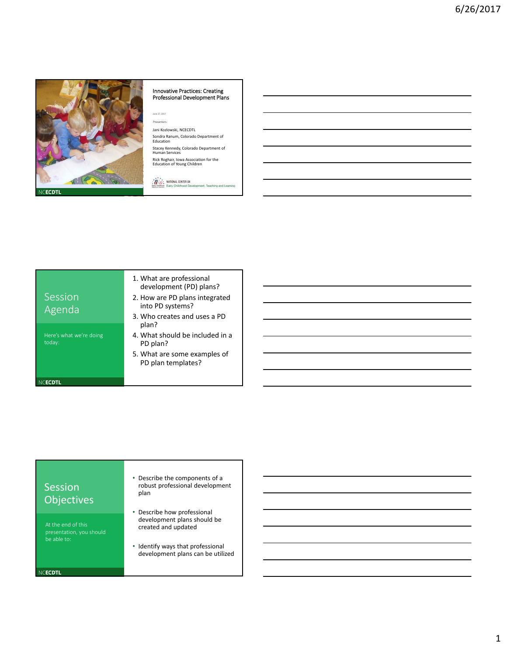

# Innovative Practices: Creating Professional Development Plans

June 27, 2017 Presenters:

Jani Kozlowski, NCECDTL Sondra Ranum, Colorado Department of

Education Stacey Kennedy, Colorado Department of Human Services

Rick Roghair, Iowa Association for the Education of Young Children

**CO** MATIONAL CENTER ON ent. Teaching and Lea

|                                   | 1. What are professional<br>development (PD) plans? |
|-----------------------------------|-----------------------------------------------------|
| Session<br>Agenda                 | 2. How are PD plans integra<br>into PD systems?     |
|                                   | 3. Who creates and uses a F<br>plan?                |
| Here's what we're doing<br>today: | 4. What should be included<br>PD plan?              |
|                                   | 5. What are some examples<br>PD plan templates?     |
|                                   |                                                     |

- 
- rated
- PD
- d in a
- es of

## Session **Objectives**

presentation, you should be able to:

NCECDTL

- Describe the components of a robust professional development plan
- Describe how professional development plans should be created and updated
- Identify ways that professional development plans can be utilized
-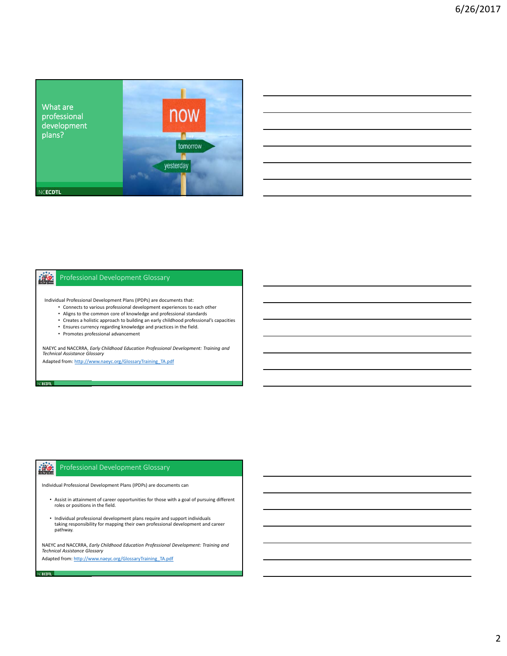

#### 激 Professional Development Glossary

Individual Professional Development Plans (IPDPs) are documents that:

- Connects to various professional development experiences to each other
- Aligns to the common core of knowledge and professional standards
- Creates a holistic approach to building an early childhood professional's capacities
- Ensures currency regarding knowledge and practices in the field.
- Promotes professional advancement

**CECDTL** 

Veecdtl **in** 

NAEYC and NACCRRA, *Early Childhood Education Professional Development: Training and Technical Assistance Glossary*

Adapted from[: http://www.naeyc.org/GlossaryTraining\\_TA.pdf](http://www.naeyc.org/GlossaryTraining_TA.pdf)

#### $\frac{1}{2}$ Professional Development Glossary

Individual Professional Development Plans (IPDPs) are documents can

- Assist in attainment of career opportunities for those with a goal of pursuing different rosistem attainment of career
- Individual professional development plans require and support individuals taking responsibility for mapping their own professional development and career pathway.

NAEYC and NACCRRA, *Early Childhood Education Professional Development: Training and Technical Assistance Glossary*

Adapted from[: http://www.naeyc.org/GlossaryTraining\\_TA.pdf](http://www.naeyc.org/GlossaryTraining_TA.pdf)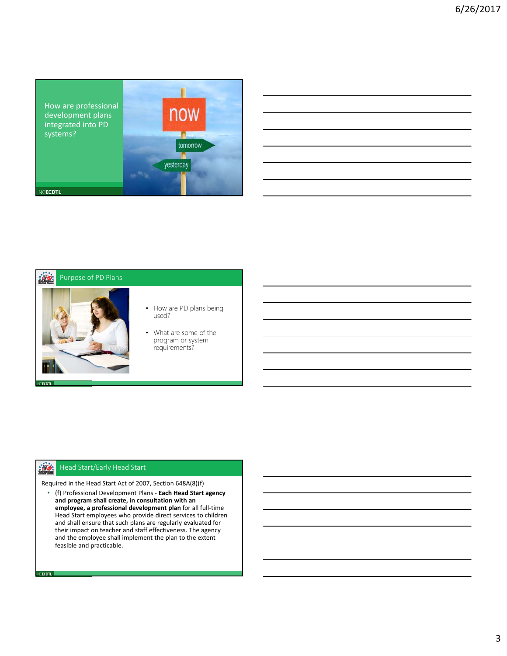

| ,我们的人们也不会有什么?""我们的人们,我们的人们,我们的人们,我们的人们,我们的人们,我们的人们,我们的人们,我们的人们,我们的人们,我们的人们,我们的人们<br>第2015章 我们的人们,我们的人们,我们的人们,我们的人们,我们的人们,我们的人们,我们的人们,我们的人们,我们的人们,我们的人们,我们的人们,我们的人们,我 |  |         |
|----------------------------------------------------------------------------------------------------------------------------------------------------------------------|--|---------|
| <u> 1989 - Johann Stoff, amerikansk politiker (d. 1989)</u>                                                                                                          |  |         |
|                                                                                                                                                                      |  |         |
|                                                                                                                                                                      |  |         |
| <u> 1989 - Andrea Andrew Maria (h. 1989).</u>                                                                                                                        |  | _______ |
|                                                                                                                                                                      |  |         |

### 警 Purpose of PD Plans



- How are PD plans being used?
- What are some of the program or system requirements?

#### $\frac{1}{2}$ Head Start/Early Head Start

NCECDTL **I** 

Required in the Head Start Act of 2007, Section 648A(8)(f)

• (f) Professional Development Plans ‐ **Each Head Start agency and program shall create, in consultation with an employee, a professional development plan** for all full‐time Head Start employees who provide direct services to children and shall ensure that such plans are regularly evaluated for their impact on teacher and staff effectiveness. The agency and the employee shall implement the plan to the extent feasible and practicable.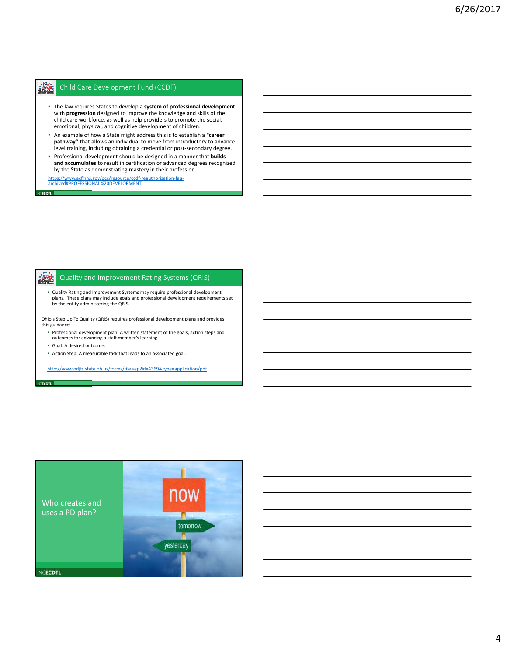#### **illist** Child Care Development Fund (CCDF)

- The law requires States to develop a **system of professional development** with **progression** designed to improve the knowledge and skills of the child care workforce, as well as help providers to promote the social, emotional, physical, and cognitive development of children.
- An example of how a State might address this is to establish a **"career pathway"** that allows an individual to move from introductory to advance level training, including obtaining a credential or post‐secondary degree.
- Professional development should be designed in a manner that **builds and accumulates** to result in certification or advanced degrees recognized by the State as demonstrating mastery in their profession.

[https://www.acf.hhs.gov/occ/resource/ccdf‐reauthorization‐faq‐](https://www.acf.hhs.gov/occ/resource/ccdf-reauthorization-faq-archived) archived#PROFESSIONAL%20DEVELOPMENT

#### **Wg** Quality and Improvement Rating Systems (QRIS)

• Quality Rating and Improvement Systems may require professional development plans. These plans may include goals and professional development requirements set by the entity administering the QRIS.

Ohio's Step Up To Quality (QRIS) requires professional development plans and provides this guidance:

- Professional development plan: A written statement of the goals, action steps and outcomes for advancing a staff member's learning.
- Goal: A desired outcome.

**ECDTL** 

• Action Step: A measurable task that leads to an associated goal.

<http://www.odjfs.state.oh.us/forms/file.asp?id=4369&type=application/pdf>

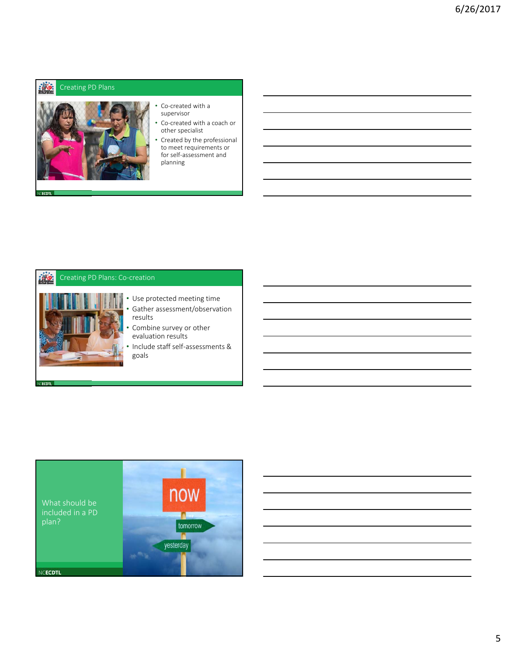#### **iliks** Creating PD Plans



- Co-created with a supervisor
- Co-created with a coach or other specialist
- Created by the professional to meet requirements or for self‐assessment and planning

#### **iNg.** Creating PD Plans: Co‐creation



### • Use protected meeting time Gather assessment/observation

- results
- Combine survey or other evaluation results
- Include staff self‐assessments & goals

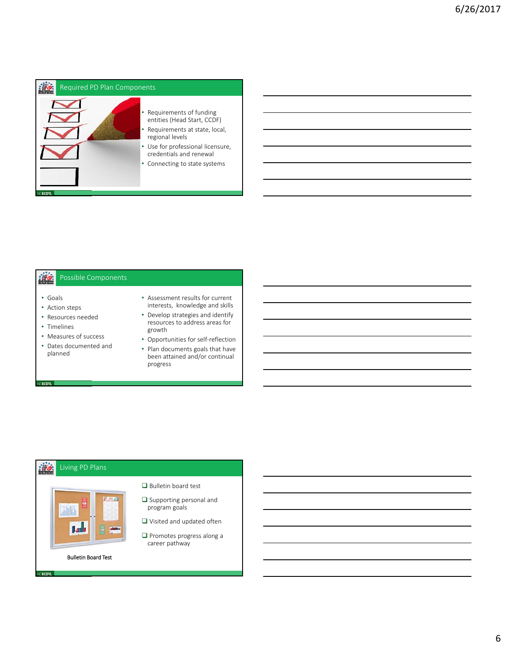

#### 激 Possible Components

• Goals

VECDTL

VEECDTL

- Action steps
- Resources needed
- Timelines
- Measures of success • Dates documented and
- planned
- Assessment results for current interests, knowledge and skills
- Develop strategies and identify resources to address areas for growth
- Opportunities for self‐reflection
- Plan documents goals that have been attained and/or continual progress

#### iks. Living PD Plans



Bulletin board test

- $\square$  Supporting personal and program goals
- Visited and updated often
- **Q** Promotes progress along a career pathway

Bulletin Board Test

- 
-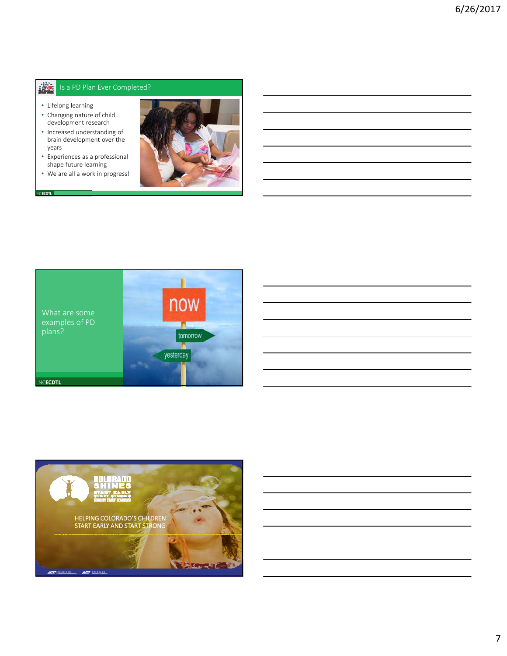#### **ALC:** Is a PD Plan Ever Completed?

• Lifelong learning

(CECDTL **III** 

- Changing nature of child development research
- Increased understanding of brain development over the years
- Experiences as a professional shape future learning
- We are all a work in progress!





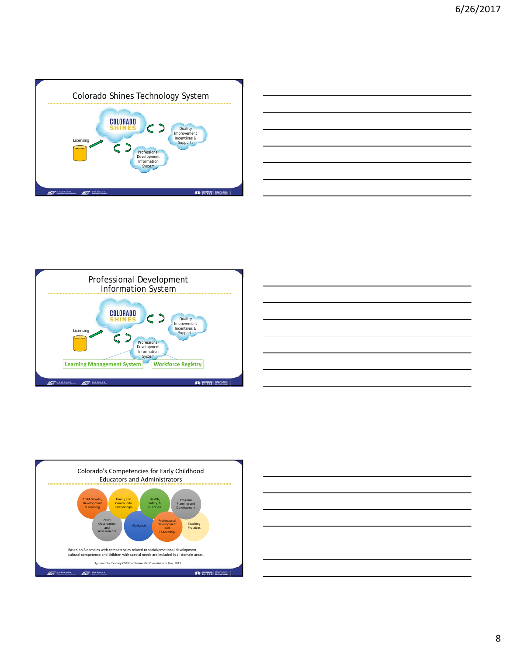









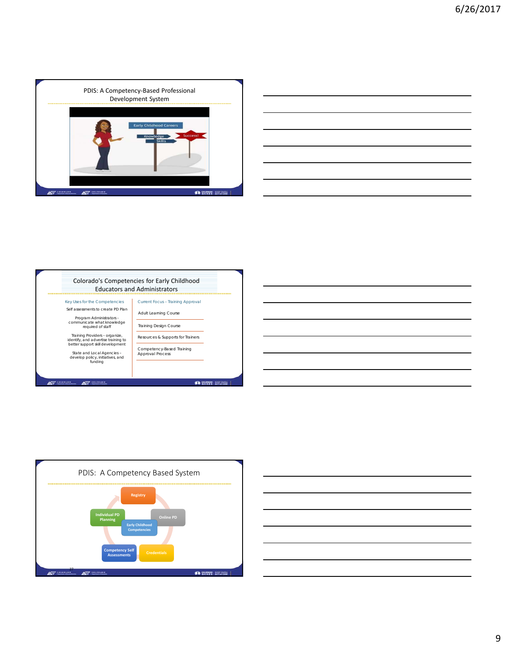









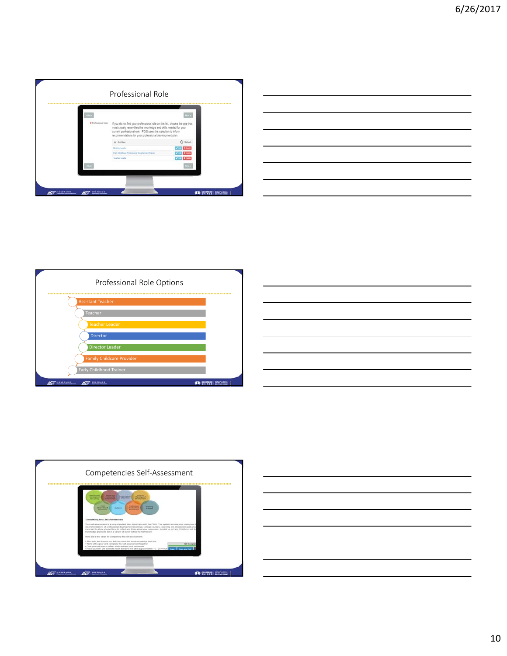

|                                                                                                                      |  | ______                   |
|----------------------------------------------------------------------------------------------------------------------|--|--------------------------|
|                                                                                                                      |  |                          |
| $\overline{\phantom{a}}$                                                                                             |  | $\overline{\phantom{a}}$ |
|                                                                                                                      |  |                          |
|                                                                                                                      |  |                          |
|                                                                                                                      |  |                          |
|                                                                                                                      |  |                          |
|                                                                                                                      |  |                          |
| <u> 1989 - Andrea Santa Andrea Andrea Andrea Andrea Andrea Andrea Andrea Andrea Andrea Andrea Andrea Andrea Andr</u> |  |                          |
|                                                                                                                      |  |                          |
| the contract of the contract of the contract of the contract of the contract of                                      |  |                          |







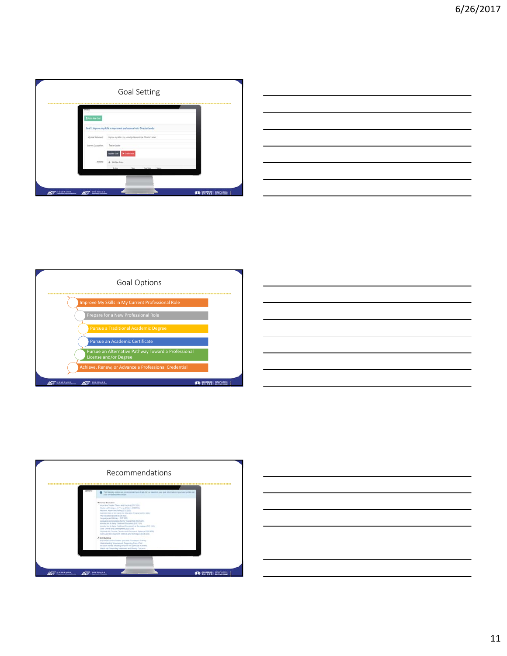

| <u> 1989 - Johann Stoff, deutscher Stoff, der Stoff, der Stoff, der Stoff, der Stoff, der Stoff, der Stoff, der S</u>                                                                                                                |  | ______ |
|--------------------------------------------------------------------------------------------------------------------------------------------------------------------------------------------------------------------------------------|--|--------|
|                                                                                                                                                                                                                                      |  |        |
|                                                                                                                                                                                                                                      |  |        |
| <u> Andreas Andreas Andreas Andreas Andreas Andreas Andreas Andreas Andreas Andreas Andreas Andreas Andreas Andreas Andreas Andreas Andreas Andreas Andreas Andreas Andreas Andreas Andreas Andreas Andreas Andreas Andreas Andr</u> |  |        |
| $\overline{\phantom{a}}$                                                                                                                                                                                                             |  |        |
|                                                                                                                                                                                                                                      |  | ____   |
|                                                                                                                                                                                                                                      |  |        |
| the contract of the contract of the contract of the contract of the contract of                                                                                                                                                      |  |        |







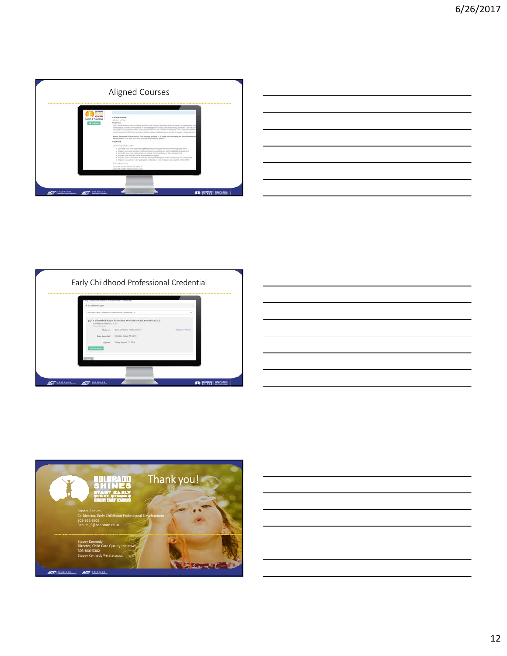

| $\overline{a}$ , and the contract of the contract of the contract of the contract of the contract of the contract of the contract of the contract of the contract of the contract of the contract of the contract of the contract o |  |        |
|-------------------------------------------------------------------------------------------------------------------------------------------------------------------------------------------------------------------------------------|--|--------|
|                                                                                                                                                                                                                                     |  |        |
| <u> 2000 - Andrea Andrew Maria (h. 1888).</u>                                                                                                                                                                                       |  |        |
|                                                                                                                                                                                                                                     |  |        |
|                                                                                                                                                                                                                                     |  |        |
|                                                                                                                                                                                                                                     |  | ______ |
|                                                                                                                                                                                                                                     |  |        |
|                                                                                                                                                                                                                                     |  |        |
|                                                                                                                                                                                                                                     |  |        |
|                                                                                                                                                                                                                                     |  |        |
|                                                                                                                                                                                                                                     |  |        |
|                                                                                                                                                                                                                                     |  |        |
|                                                                                                                                                                                                                                     |  |        |
| <u> 1989 - Johann Stoff, amerikansk politiker (d. 1989)</u>                                                                                                                                                                         |  |        |





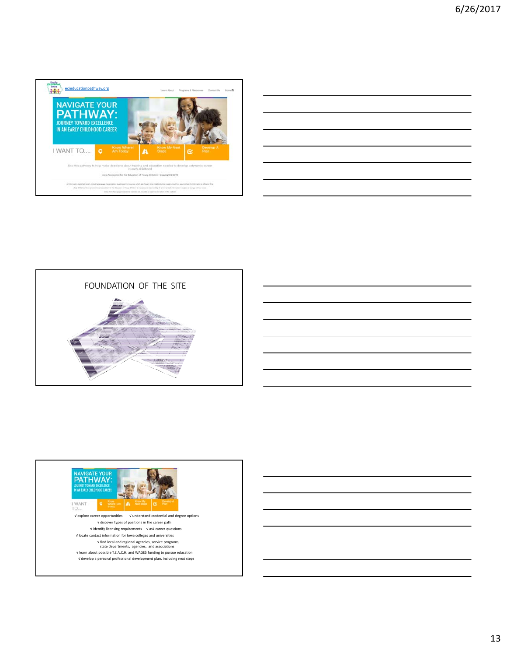

| <u> 1989 - Johann Stoff, amerikansk politiker (d. 1989)</u>                      |  |  |
|----------------------------------------------------------------------------------|--|--|
| ,我们也不会有什么。""我们的人,我们也不会有什么?""我们的人,我们也不会有什么?""我们的人,我们也不会有什么?""我们的人,我们也不会有什么?""我们的人 |  |  |
| <u> 1989 - Johann Stoff, amerikansk politiker (d. 1989)</u>                      |  |  |
|                                                                                  |  |  |
|                                                                                  |  |  |

 $\overline{a}$ 



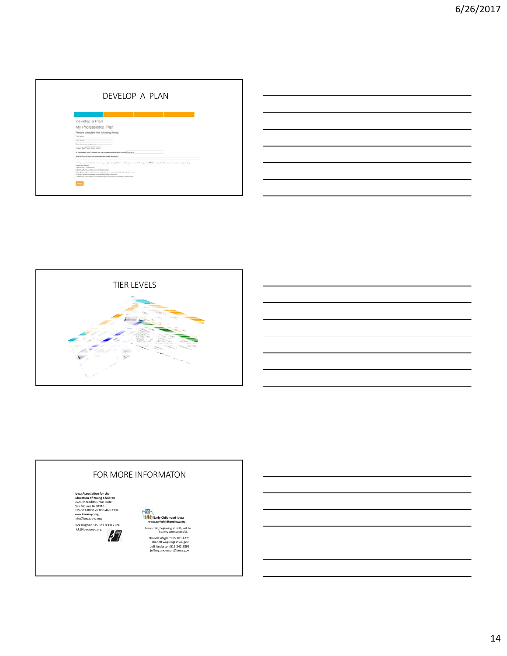| DEVELOP A PLAN                                                                                                                                                                                                                                                                                                                                                                                                                                                                                                |  |
|---------------------------------------------------------------------------------------------------------------------------------------------------------------------------------------------------------------------------------------------------------------------------------------------------------------------------------------------------------------------------------------------------------------------------------------------------------------------------------------------------------------|--|
|                                                                                                                                                                                                                                                                                                                                                                                                                                                                                                               |  |
| Develop a Plan                                                                                                                                                                                                                                                                                                                                                                                                                                                                                                |  |
| My Professional Plan                                                                                                                                                                                                                                                                                                                                                                                                                                                                                          |  |
| Please complete the following fields:<br>Post force<br>Last form<br><b>Emer during comme product</b><br>Today's Devi/Yason Send a Deb 1                                                                                                                                                                                                                                                                                                                                                                       |  |
| At the present tens. I believe that one professored alrengels included to engine<br>What do I do us into a that domonatesim three atmospher?                                                                                                                                                                                                                                                                                                                                                                  |  |
| At the present tens, I believe ing samproxylearing abilities until suppose to the following sense CC 21 unusing Cold Sentingenet and Lawring United to<br><b>There and Select</b><br>Checomo a Forecarea)<br>Dunling Family and Community Receivedness<br>and the state<br>Chiang Developmenteds Effective Association to Connect with Children and Ferritten<br>This are the most discounting to their Meaninghal Starmshuts<br>Childrening, Documenting and Assessing to Russell Touring United and Fantone |  |
|                                                                                                                                                                                                                                                                                                                                                                                                                                                                                                               |  |



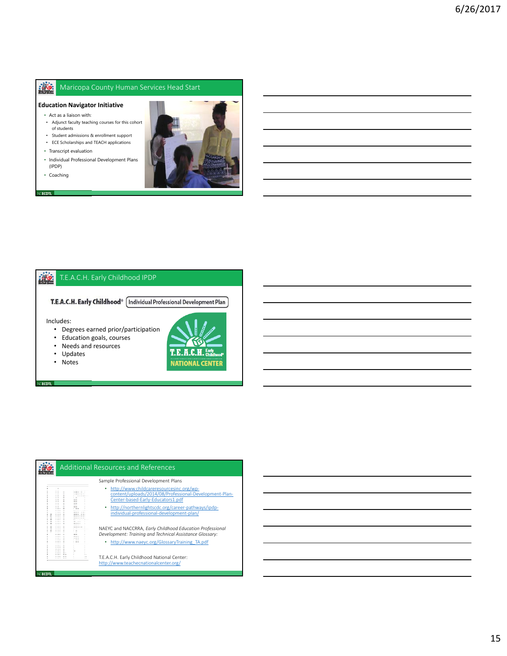#### $\mathbb{R}$ Maricopa County Human Services Head Start

- **Education Navigator Initiative**
	- Act as a liaison with:
	- Adjunct faculty teaching courses for this cohort of students
	- Student admissions & enrollment support
	- ECE Scholarships and TEACH applications
	- Transcript evaluation
	- Individual Professional Development Plans (IPDP)
	- Coaching

VCECDTL **Inte** 



#### 滋 T.E.A.C.H. Early Childhood IPDP

T.E.A.C.H. Early Childhood® [Individual Professional Development Plan]

Includes:

**CECDTL** 

- Degrees earned prior/participation
- Education goals, courses<br>• Needs and resources
- Needs and resources<br>• Updates
- **Updates**
- Notes